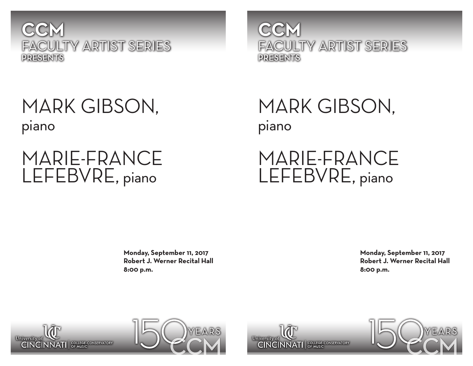

### MARK GIBSON, piano

# MARIE-FRANCE LEFEBVRE, piano

**CCM** FACULTY ARTIST SERIES PRESENTS

MARK GIBSON, piano

MARIE-FRANCE LEFEBVRE, piano

**Monday, September 11, 2017 Robert J. Werner Recital Hall 8:00 p.m.**

**Monday, September 11, 2017 Robert J. Werner Recital Hall 8:00 p.m.**